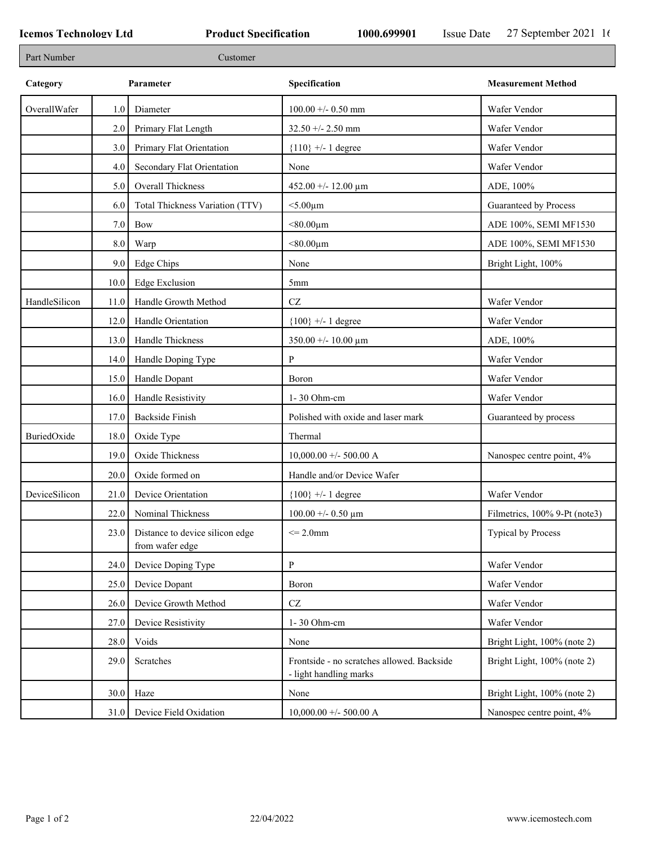| Part Number   |         | Customer                                           |                                                                      |                               |
|---------------|---------|----------------------------------------------------|----------------------------------------------------------------------|-------------------------------|
| Category      |         | Parameter                                          | Specification                                                        | <b>Measurement Method</b>     |
| OverallWafer  | 1.0     | Diameter                                           | $100.00 + - 0.50$ mm                                                 | Wafer Vendor                  |
|               | 2.0     | Primary Flat Length                                | $32.50 + - 2.50$ mm                                                  | Wafer Vendor                  |
|               | 3.0     | Primary Flat Orientation                           | ${110}$ +/- 1 degree                                                 | Wafer Vendor                  |
|               | 4.0     | Secondary Flat Orientation                         | None                                                                 | Wafer Vendor                  |
|               | 5.0     | Overall Thickness                                  | 452.00 +/- 12.00 $\mu$ m                                             | ADE, 100%                     |
|               | 6.0     | Total Thickness Variation (TTV)                    | $<$ 5.00 $\mu$ m                                                     | Guaranteed by Process         |
|               | $7.0\,$ | Bow                                                | $< 80.00 \mu m$                                                      | ADE 100%, SEMI MF1530         |
|               | $8.0\,$ | Warp                                               | $< 80.00 \mu m$                                                      | ADE 100%, SEMI MF1530         |
|               | 9.0     | Edge Chips                                         | None                                                                 | Bright Light, 100%            |
|               | 10.0    | Edge Exclusion                                     | 5 <sub>mm</sub>                                                      |                               |
| HandleSilicon | 11.0    | Handle Growth Method                               | $\operatorname{CZ}$                                                  | Wafer Vendor                  |
|               | 12.0    | Handle Orientation                                 | ${100}$ +/- 1 degree                                                 | Wafer Vendor                  |
|               | 13.0    | Handle Thickness                                   | $350.00 + - 10.00 \mu m$                                             | ADE, 100%                     |
|               | 14.0    | Handle Doping Type                                 | P                                                                    | Wafer Vendor                  |
|               | 15.0    | Handle Dopant                                      | Boron                                                                | Wafer Vendor                  |
|               | 16.0    | Handle Resistivity                                 | 1-30 Ohm-cm                                                          | Wafer Vendor                  |
|               | 17.0    | <b>Backside Finish</b>                             | Polished with oxide and laser mark                                   | Guaranteed by process         |
| BuriedOxide   | 18.0    | Oxide Type                                         | Thermal                                                              |                               |
|               | 19.0    | Oxide Thickness                                    | $10,000.00 +/- 500.00 A$                                             | Nanospec centre point, 4%     |
|               | 20.0    | Oxide formed on                                    | Handle and/or Device Wafer                                           |                               |
| DeviceSilicon | 21.0    | Device Orientation                                 | ${100}$ +/- 1 degree                                                 | Wafer Vendor                  |
|               | 22.0    | Nominal Thickness                                  | $100.00 + - 0.50 \mu m$                                              | Filmetrics, 100% 9-Pt (note3) |
|               | 23.0    | Distance to device silicon edge<br>from wafer edge | $\leq$ 2.0mm                                                         | Typical by Process            |
|               | 24.0    | Device Doping Type                                 | P                                                                    | Wafer Vendor                  |
|               | 25.0    | Device Dopant                                      | Boron                                                                | Wafer Vendor                  |
|               | 26.0    | Device Growth Method                               | $\operatorname{CZ}$                                                  | Wafer Vendor                  |
|               | 27.0    | Device Resistivity                                 | 1-30 Ohm-cm                                                          | Wafer Vendor                  |
|               | 28.0    | Voids                                              | None                                                                 | Bright Light, 100% (note 2)   |
|               | 29.0    | Scratches                                          | Frontside - no scratches allowed. Backside<br>- light handling marks | Bright Light, 100% (note 2)   |
|               | 30.0    | Haze                                               | None                                                                 | Bright Light, 100% (note 2)   |
|               | 31.0    | Device Field Oxidation                             | $10,000.00 + -500.00$ A                                              | Nanospec centre point, 4%     |